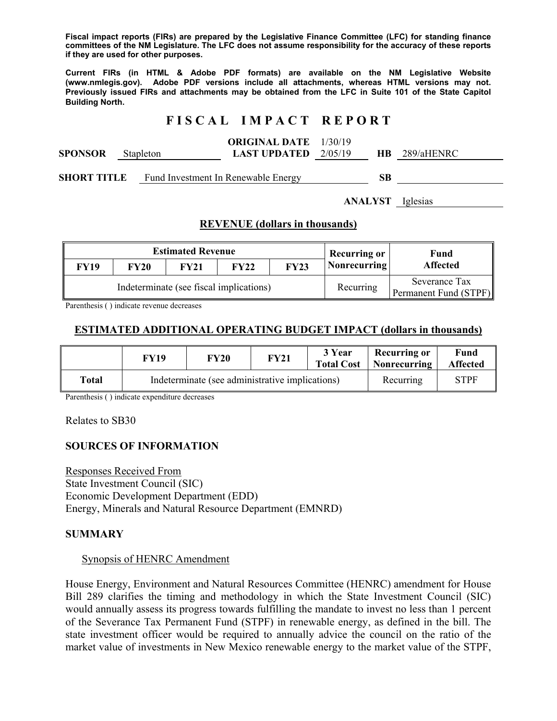**Fiscal impact reports (FIRs) are prepared by the Legislative Finance Committee (LFC) for standing finance committees of the NM Legislature. The LFC does not assume responsibility for the accuracy of these reports if they are used for other purposes.** 

**Current FIRs (in HTML & Adobe PDF formats) are available on the NM Legislative Website (www.nmlegis.gov). Adobe PDF versions include all attachments, whereas HTML versions may not. Previously issued FIRs and attachments may be obtained from the LFC in Suite 101 of the State Capitol Building North.**

# **F I S C A L I M P A C T R E P O R T**

|                |           | <b>ORIGINAL DATE</b> 1/30/19  |           |            |  |
|----------------|-----------|-------------------------------|-----------|------------|--|
| <b>SPONSOR</b> | Stapleton | <b>LAST UPDATED</b> $2/05/19$ | <b>HB</b> | 289/aHENRC |  |
|                |           |                               |           |            |  |

**SHORT TITLE** Fund Investment In Renewable Energy **SB** 

**ANALYST** Iglesias

### **REVENUE (dollars in thousands)**

| <b>Estimated Revenue</b>                |             |             |             | <b>Recurring or</b> | Fund         |                                        |  |
|-----------------------------------------|-------------|-------------|-------------|---------------------|--------------|----------------------------------------|--|
| FY19                                    | <b>FY20</b> | <b>FY21</b> | <b>FY22</b> | <b>FY23</b>         | Nonrecurring | <b>Affected</b>                        |  |
| Indeterminate (see fiscal implications) |             |             |             |                     | Recurring    | Severance Tax<br>Permanent Fund (STPF) |  |

Parenthesis ( ) indicate revenue decreases

### **ESTIMATED ADDITIONAL OPERATING BUDGET IMPACT (dollars in thousands)**

|       | FY19 | FY20                                            | FY21 | 3 Year<br><b>Total Cost</b> | <b>Recurring or</b><br>  Nonrecurring | Fund<br><b>Affected</b> |
|-------|------|-------------------------------------------------|------|-----------------------------|---------------------------------------|-------------------------|
| Total |      | Indeterminate (see administrative implications) |      |                             | Recurring                             | STPF                    |

Parenthesis ( ) indicate expenditure decreases

Relates to SB30

### **SOURCES OF INFORMATION**

Responses Received From State Investment Council (SIC) Economic Development Department (EDD) Energy, Minerals and Natural Resource Department (EMNRD)

#### **SUMMARY**

#### Synopsis of HENRC Amendment

House Energy, Environment and Natural Resources Committee (HENRC) amendment for House Bill 289 clarifies the timing and methodology in which the State Investment Council (SIC) would annually assess its progress towards fulfilling the mandate to invest no less than 1 percent of the Severance Tax Permanent Fund (STPF) in renewable energy, as defined in the bill. The state investment officer would be required to annually advice the council on the ratio of the market value of investments in New Mexico renewable energy to the market value of the STPF,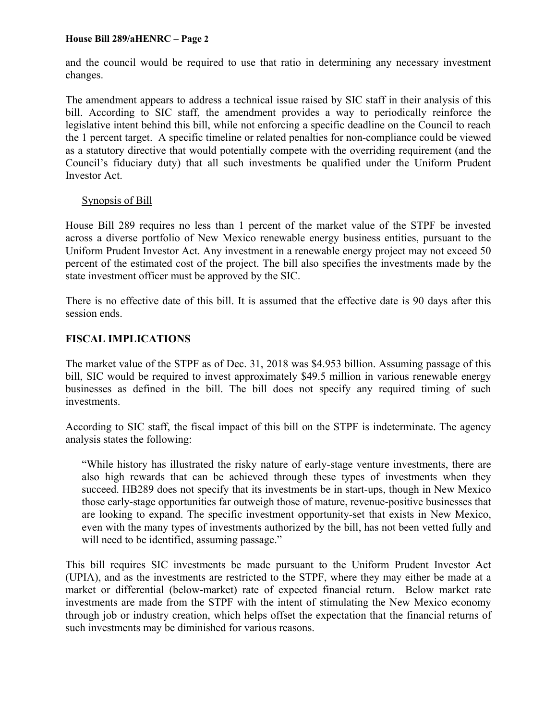and the council would be required to use that ratio in determining any necessary investment changes.

The amendment appears to address a technical issue raised by SIC staff in their analysis of this bill. According to SIC staff, the amendment provides a way to periodically reinforce the legislative intent behind this bill, while not enforcing a specific deadline on the Council to reach the 1 percent target. A specific timeline or related penalties for non-compliance could be viewed as a statutory directive that would potentially compete with the overriding requirement (and the Council's fiduciary duty) that all such investments be qualified under the Uniform Prudent Investor Act.

### Synopsis of Bill

House Bill 289 requires no less than 1 percent of the market value of the STPF be invested across a diverse portfolio of New Mexico renewable energy business entities, pursuant to the Uniform Prudent Investor Act. Any investment in a renewable energy project may not exceed 50 percent of the estimated cost of the project. The bill also specifies the investments made by the state investment officer must be approved by the SIC.

There is no effective date of this bill. It is assumed that the effective date is 90 days after this session ends.

## **FISCAL IMPLICATIONS**

The market value of the STPF as of Dec. 31, 2018 was \$4.953 billion. Assuming passage of this bill, SIC would be required to invest approximately \$49.5 million in various renewable energy businesses as defined in the bill. The bill does not specify any required timing of such investments.

According to SIC staff, the fiscal impact of this bill on the STPF is indeterminate. The agency analysis states the following:

"While history has illustrated the risky nature of early-stage venture investments, there are also high rewards that can be achieved through these types of investments when they succeed. HB289 does not specify that its investments be in start-ups, though in New Mexico those early-stage opportunities far outweigh those of mature, revenue-positive businesses that are looking to expand. The specific investment opportunity-set that exists in New Mexico, even with the many types of investments authorized by the bill, has not been vetted fully and will need to be identified, assuming passage."

This bill requires SIC investments be made pursuant to the Uniform Prudent Investor Act (UPIA), and as the investments are restricted to the STPF, where they may either be made at a market or differential (below-market) rate of expected financial return. Below market rate investments are made from the STPF with the intent of stimulating the New Mexico economy through job or industry creation, which helps offset the expectation that the financial returns of such investments may be diminished for various reasons.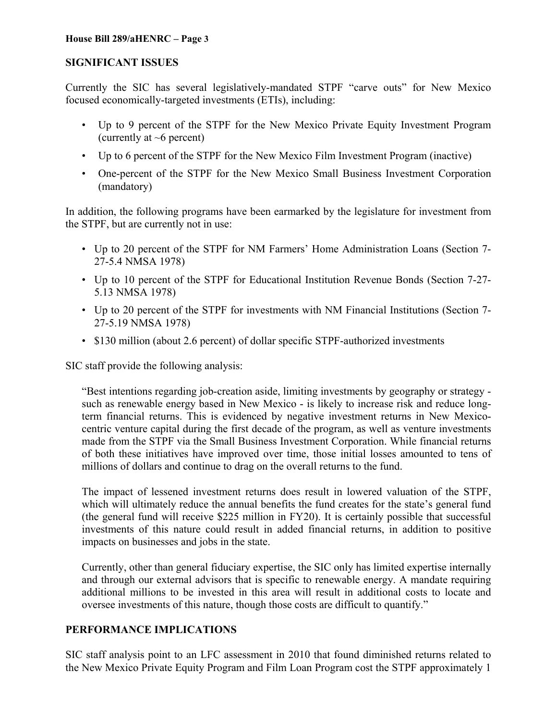### **SIGNIFICANT ISSUES**

Currently the SIC has several legislatively-mandated STPF "carve outs" for New Mexico focused economically-targeted investments (ETIs), including:

- Up to 9 percent of the STPF for the New Mexico Private Equity Investment Program (currently at  $\sim$ 6 percent)
- Up to 6 percent of the STPF for the New Mexico Film Investment Program (inactive)
- One-percent of the STPF for the New Mexico Small Business Investment Corporation (mandatory)

In addition, the following programs have been earmarked by the legislature for investment from the STPF, but are currently not in use:

- Up to 20 percent of the STPF for NM Farmers' Home Administration Loans (Section 7- 27-5.4 NMSA 1978)
- Up to 10 percent of the STPF for Educational Institution Revenue Bonds (Section 7-27- 5.13 NMSA 1978)
- Up to 20 percent of the STPF for investments with NM Financial Institutions (Section 7- 27-5.19 NMSA 1978)
- \$130 million (about 2.6 percent) of dollar specific STPF-authorized investments

SIC staff provide the following analysis:

"Best intentions regarding job-creation aside, limiting investments by geography or strategy such as renewable energy based in New Mexico - is likely to increase risk and reduce longterm financial returns. This is evidenced by negative investment returns in New Mexicocentric venture capital during the first decade of the program, as well as venture investments made from the STPF via the Small Business Investment Corporation. While financial returns of both these initiatives have improved over time, those initial losses amounted to tens of millions of dollars and continue to drag on the overall returns to the fund.

The impact of lessened investment returns does result in lowered valuation of the STPF, which will ultimately reduce the annual benefits the fund creates for the state's general fund (the general fund will receive \$225 million in FY20). It is certainly possible that successful investments of this nature could result in added financial returns, in addition to positive impacts on businesses and jobs in the state.

Currently, other than general fiduciary expertise, the SIC only has limited expertise internally and through our external advisors that is specific to renewable energy. A mandate requiring additional millions to be invested in this area will result in additional costs to locate and oversee investments of this nature, though those costs are difficult to quantify."

## **PERFORMANCE IMPLICATIONS**

SIC staff analysis point to an LFC assessment in 2010 that found diminished returns related to the New Mexico Private Equity Program and Film Loan Program cost the STPF approximately 1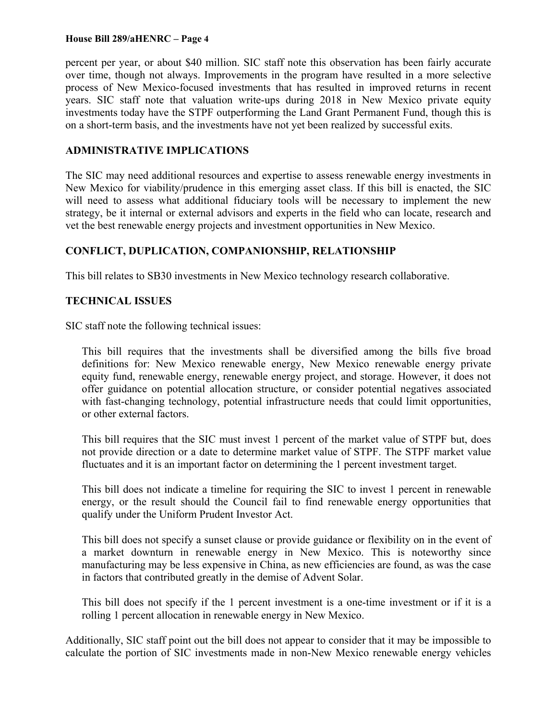percent per year, or about \$40 million. SIC staff note this observation has been fairly accurate over time, though not always. Improvements in the program have resulted in a more selective process of New Mexico-focused investments that has resulted in improved returns in recent years. SIC staff note that valuation write-ups during 2018 in New Mexico private equity investments today have the STPF outperforming the Land Grant Permanent Fund, though this is on a short-term basis, and the investments have not yet been realized by successful exits.

## **ADMINISTRATIVE IMPLICATIONS**

The SIC may need additional resources and expertise to assess renewable energy investments in New Mexico for viability/prudence in this emerging asset class. If this bill is enacted, the SIC will need to assess what additional fiduciary tools will be necessary to implement the new strategy, be it internal or external advisors and experts in the field who can locate, research and vet the best renewable energy projects and investment opportunities in New Mexico.

## **CONFLICT, DUPLICATION, COMPANIONSHIP, RELATIONSHIP**

This bill relates to SB30 investments in New Mexico technology research collaborative.

## **TECHNICAL ISSUES**

SIC staff note the following technical issues:

This bill requires that the investments shall be diversified among the bills five broad definitions for: New Mexico renewable energy, New Mexico renewable energy private equity fund, renewable energy, renewable energy project, and storage. However, it does not offer guidance on potential allocation structure, or consider potential negatives associated with fast-changing technology, potential infrastructure needs that could limit opportunities, or other external factors.

This bill requires that the SIC must invest 1 percent of the market value of STPF but, does not provide direction or a date to determine market value of STPF. The STPF market value fluctuates and it is an important factor on determining the 1 percent investment target.

This bill does not indicate a timeline for requiring the SIC to invest 1 percent in renewable energy, or the result should the Council fail to find renewable energy opportunities that qualify under the Uniform Prudent Investor Act.

This bill does not specify a sunset clause or provide guidance or flexibility on in the event of a market downturn in renewable energy in New Mexico. This is noteworthy since manufacturing may be less expensive in China, as new efficiencies are found, as was the case in factors that contributed greatly in the demise of Advent Solar.

This bill does not specify if the 1 percent investment is a one-time investment or if it is a rolling 1 percent allocation in renewable energy in New Mexico.

Additionally, SIC staff point out the bill does not appear to consider that it may be impossible to calculate the portion of SIC investments made in non-New Mexico renewable energy vehicles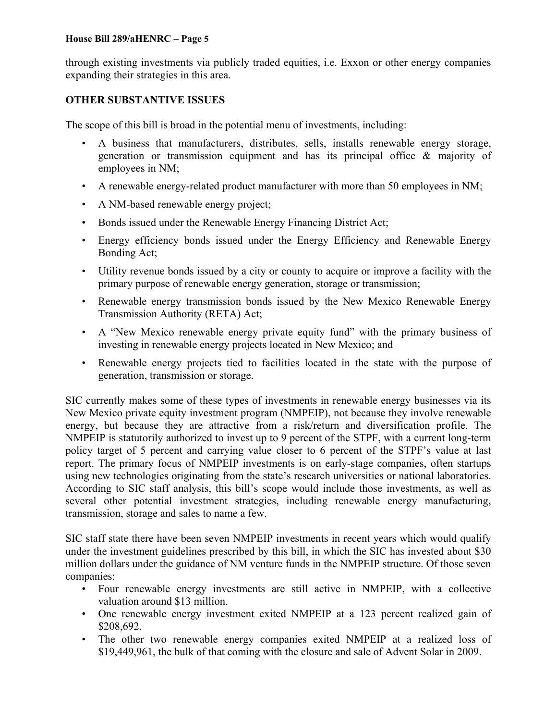through existing investments via publicly traded equities, i.e. Exxon or other energy companies expanding their strategies in this area.

# **OTHER SUBSTANTIVE ISSUES**

The scope of this bill is broad in the potential menu of investments, including:

- A business that manufacturers, distributes, sells, installs renewable energy storage, generation or transmission equipment and has its principal office & majority of employees in NM;
- A renewable energy-related product manufacturer with more than 50 employees in NM;
- A NM-based renewable energy project;
- Bonds issued under the Renewable Energy Financing District Act;
- Energy efficiency bonds issued under the Energy Efficiency and Renewable Energy Bonding Act;
- Utility revenue bonds issued by a city or county to acquire or improve a facility with the primary purpose of renewable energy generation, storage or transmission;
- Renewable energy transmission bonds issued by the New Mexico Renewable Energy Transmission Authority (RETA) Act;
- A "New Mexico renewable energy private equity fund" with the primary business of investing in renewable energy projects located in New Mexico; and
- Renewable energy projects tied to facilities located in the state with the purpose of generation, transmission or storage.

SIC currently makes some of these types of investments in renewable energy businesses via its New Mexico private equity investment program (NMPEIP), not because they involve renewable energy, but because they are attractive from a risk/return and diversification profile. The NMPEIP is statutorily authorized to invest up to 9 percent of the STPF, with a current long-term policy target of 5 percent and carrying value closer to 6 percent of the STPF's value at last report. The primary focus of NMPEIP investments is on early-stage companies, often startups using new technologies originating from the state's research universities or national laboratories. According to SIC staff analysis, this bill's scope would include those investments, as well as several other potential investment strategies, including renewable energy manufacturing, transmission, storage and sales to name a few.

SIC staff state there have been seven NMPEIP investments in recent years which would qualify under the investment guidelines prescribed by this bill, in which the SIC has invested about \$30 million dollars under the guidance of NM venture funds in the NMPEIP structure. Of those seven companies:

- Four renewable energy investments are still active in NMPEIP, with a collective valuation around \$13 million.
- One renewable energy investment exited NMPEIP at a 123 percent realized gain of \$208,692.
- The other two renewable energy companies exited NMPEIP at a realized loss of \$19,449,961, the bulk of that coming with the closure and sale of Advent Solar in 2009.